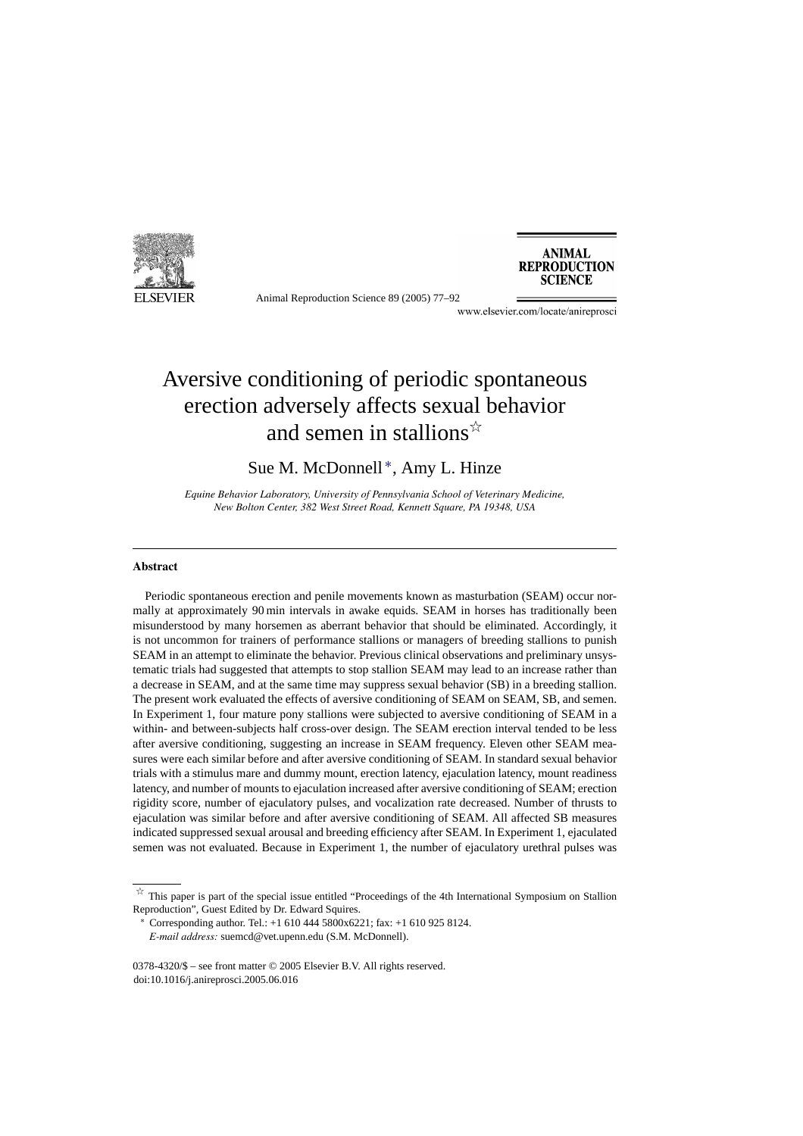

Animal Reproduction Science 89 (2005) 77–92



www.elsevier.com/locate/anireprosci

# Aversive conditioning of periodic spontaneous erection adversely affects sexual behavior and semen in stallions  $\hat{X}$

## Sue M. McDonnell ∗, Amy L. Hinze

*Equine Behavior Laboratory, University of Pennsylvania School of Veterinary Medicine, New Bolton Center, 382 West Street Road, Kennett Square, PA 19348, USA*

#### **Abstract**

Periodic spontaneous erection and penile movements known as masturbation (SEAM) occur normally at approximately 90 min intervals in awake equids. SEAM in horses has traditionally been misunderstood by many horsemen as aberrant behavior that should be eliminated. Accordingly, it is not uncommon for trainers of performance stallions or managers of breeding stallions to punish SEAM in an attempt to eliminate the behavior. Previous clinical observations and preliminary unsystematic trials had suggested that attempts to stop stallion SEAM may lead to an increase rather than a decrease in SEAM, and at the same time may suppress sexual behavior (SB) in a breeding stallion. The present work evaluated the effects of aversive conditioning of SEAM on SEAM, SB, and semen. In Experiment 1, four mature pony stallions were subjected to aversive conditioning of SEAM in a within- and between-subjects half cross-over design. The SEAM erection interval tended to be less after aversive conditioning, suggesting an increase in SEAM frequency. Eleven other SEAM measures were each similar before and after aversive conditioning of SEAM. In standard sexual behavior trials with a stimulus mare and dummy mount, erection latency, ejaculation latency, mount readiness latency, and number of mounts to ejaculation increased after aversive conditioning of SEAM; erection rigidity score, number of ejaculatory pulses, and vocalization rate decreased. Number of thrusts to ejaculation was similar before and after aversive conditioning of SEAM. All affected SB measures indicated suppressed sexual arousal and breeding efficiency after SEAM. In Experiment 1, ejaculated semen was not evaluated. Because in Experiment 1, the number of ejaculatory urethral pulses was

This paper is part of the special issue entitled "Proceedings of the 4th International Symposium on Stallion Reproduction", Guest Edited by Dr. Edward Squires.

<sup>∗</sup> Corresponding author. Tel.: +1 610 444 5800x6221; fax: +1 610 925 8124.

*E-mail address:* suemcd@vet.upenn.edu (S.M. McDonnell).

<sup>0378-4320/\$ –</sup> see front matter © 2005 Elsevier B.V. All rights reserved. doi:10.1016/j.anireprosci.2005.06.016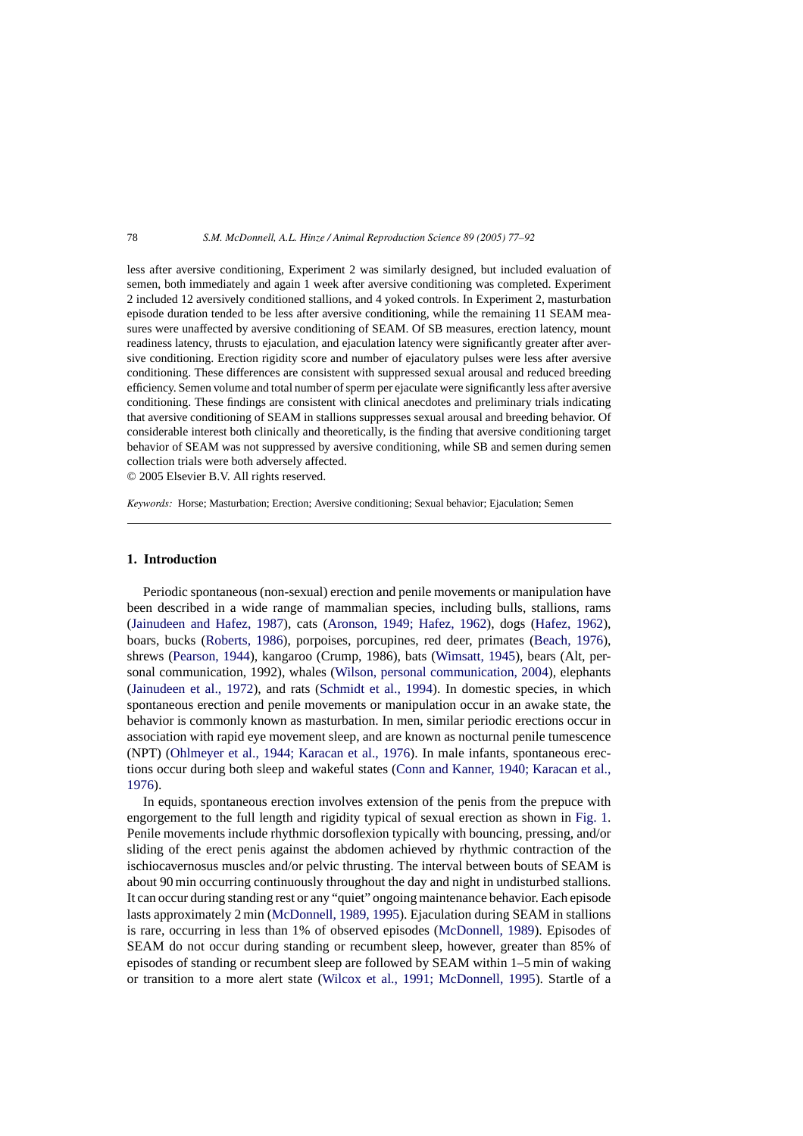less after aversive conditioning, Experiment 2 was similarly designed, but included evaluation of semen, both immediately and again 1 week after aversive conditioning was completed. Experiment 2 included 12 aversively conditioned stallions, and 4 yoked controls. In Experiment 2, masturbation episode duration tended to be less after aversive conditioning, while the remaining 11 SEAM measures were unaffected by aversive conditioning of SEAM. Of SB measures, erection latency, mount readiness latency, thrusts to ejaculation, and ejaculation latency were significantly greater after aversive conditioning. Erection rigidity score and number of ejaculatory pulses were less after aversive conditioning. These differences are consistent with suppressed sexual arousal and reduced breeding efficiency. Semen volume and total number of sperm per ejaculate were significantly less after aversive conditioning. These findings are consistent with clinical anecdotes and preliminary trials indicating that aversive conditioning of SEAM in stallions suppresses sexual arousal and breeding behavior. Of considerable interest both clinically and theoretically, is the finding that aversive conditioning target behavior of SEAM was not suppressed by aversive conditioning, while SB and semen during semen collection trials were both adversely affected.

© 2005 Elsevier B.V. All rights reserved.

*Keywords:* Horse; Masturbation; Erection; Aversive conditioning; Sexual behavior; Ejaculation; Semen

#### **1. Introduction**

Periodic spontaneous (non-sexual) erection and penile movements or manipulation have been described in a wide range of mammalian species, including bulls, stallions, rams [\(Jainudeen and Hafez, 1987](#page-14-0)), cats ([Aronson, 1949; Hafez, 1962\)](#page-13-0), dogs ([Hafez, 1962\)](#page-14-0), boars, bucks [\(Roberts, 1986\)](#page-14-0), porpoises, porcupines, red deer, primates ([Beach, 1976\)](#page-13-0), shrews [\(Pearson, 1944\),](#page-14-0) kangaroo (Crump, 1986), bats ([Wimsatt, 1945\),](#page-15-0) bears (Alt, personal communication, 1992), whales [\(Wilson, personal communication, 2004\),](#page-15-0) elephants [\(Jainudeen et al., 1972\)](#page-14-0), and rats ([Schmidt et al., 1994\)](#page-15-0). In domestic species, in which spontaneous erection and penile movements or manipulation occur in an awake state, the behavior is commonly known as masturbation. In men, similar periodic erections occur in association with rapid eye movement sleep, and are known as nocturnal penile tumescence (NPT) [\(Ohlmeyer et al., 1944; Karacan et al., 1976](#page-14-0)). In male infants, spontaneous erections occur during both sleep and wakeful states ([Conn and Kanner, 1940; Karacan et al.,](#page-13-0) [1976\).](#page-13-0)

In equids, spontaneous erection involves extension of the penis from the prepuce with engorgement to the full length and rigidity typical of sexual erection as shown in [Fig. 1.](#page-2-0) Penile movements include rhythmic dorsoflexion typically with bouncing, pressing, and/or sliding of the erect penis against the abdomen achieved by rhythmic contraction of the ischiocavernosus muscles and/or pelvic thrusting. The interval between bouts of SEAM is about 90 min occurring continuously throughout the day and night in undisturbed stallions. It can occur during standing rest or any "quiet" ongoing maintenance behavior. Each episode lasts approximately 2 min [\(McDonnell, 1989, 1995\).](#page-14-0) Ejaculation during SEAM in stallions is rare, occurring in less than 1% of observed episodes ([McDonnell, 1989\).](#page-14-0) Episodes of SEAM do not occur during standing or recumbent sleep, however, greater than 85% of episodes of standing or recumbent sleep are followed by SEAM within 1–5 min of waking or transition to a more alert state ([Wilcox et al., 1991; McDonnell, 1995](#page-15-0)). Startle of a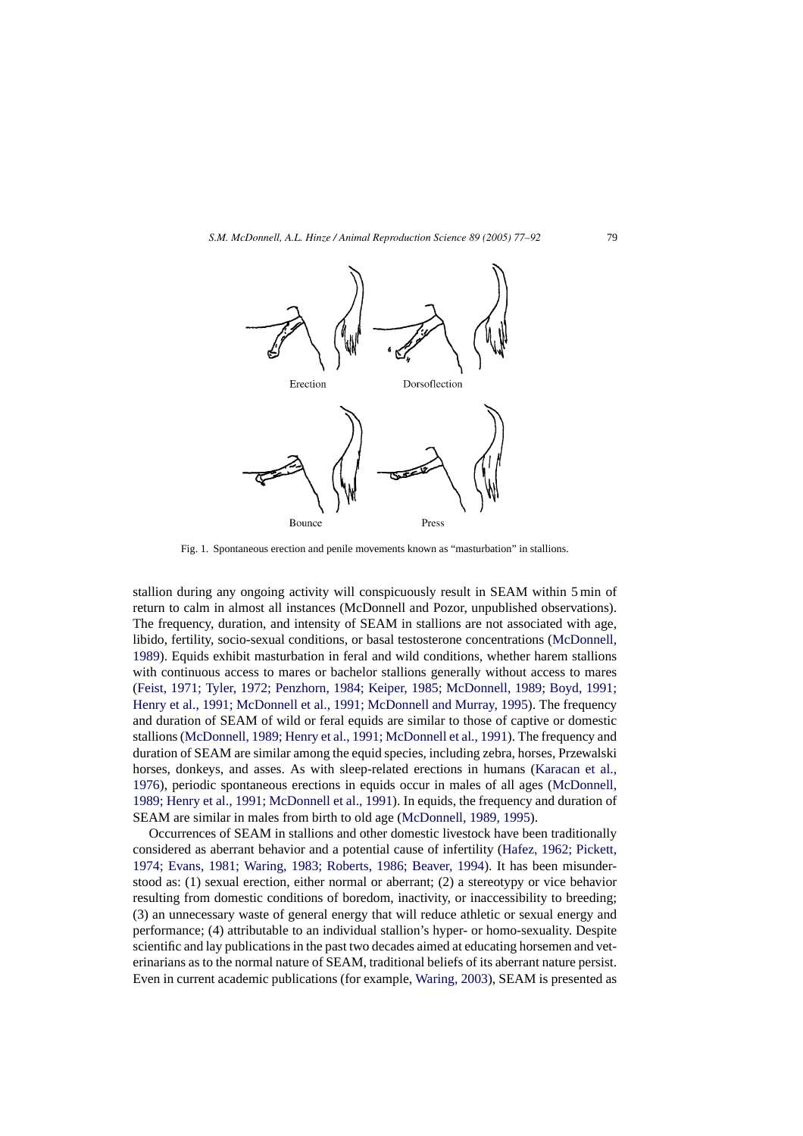<span id="page-2-0"></span>

Fig. 1. Spontaneous erection and penile movements known as "masturbation" in stallions.

stallion during any ongoing activity will conspicuously result in SEAM within 5 min of return to calm in almost all instances (McDonnell and Pozor, unpublished observations). The frequency, duration, and intensity of SEAM in stallions are not associated with age, libido, fertility, socio-sexual conditions, or basal testosterone concentrations [\(McDonnell,](#page-14-0) [1989\).](#page-14-0) Equids exhibit masturbation in feral and wild conditions, whether harem stallions with continuous access to mares or bachelor stallions generally without access to mares ([Feist, 1971; Tyler, 1972; Penzhorn, 1984; Keiper, 1985; McDonnell, 1989; Boyd, 1991;](#page-14-0) [Henry et al., 1991; McDonnell et al., 1991; McDonnell and Murray, 1995\).](#page-14-0) The frequency and duration of SEAM of wild or feral equids are similar to those of captive or domestic stallions ([McDonnell, 1989; Henry et al., 1991; McDonnell et al., 1991\). T](#page-14-0)he frequency and duration of SEAM are similar among the equid species, including zebra, horses, Przewalski horses, donkeys, and asses. As with sleep-related erections in humans ([Karacan et al.,](#page-14-0) [1976\),](#page-14-0) periodic spontaneous erections in equids occur in males of all ages [\(McDonnell,](#page-14-0) [1989; Henry et al., 1991; McDonnell et al., 1991\).](#page-14-0) In equids, the frequency and duration of SEAM are similar in males from birth to old age ([McDonnell, 1989, 1995\).](#page-14-0)

Occurrences of SEAM in stallions and other domestic livestock have been traditionally considered as aberrant behavior and a potential cause of infertility [\(Hafez, 1962; Pickett,](#page-14-0) [1974; Evans, 1981; Waring, 1983; Roberts, 1986; Beaver, 1994](#page-14-0)). It has been misunderstood as: (1) sexual erection, either normal or aberrant; (2) a stereotypy or vice behavior resulting from domestic conditions of boredom, inactivity, or inaccessibility to breeding; (3) an unnecessary waste of general energy that will reduce athletic or sexual energy and performance; (4) attributable to an individual stallion's hyper- or homo-sexuality. Despite scientific and lay publications in the past two decades aimed at educating horsemen and veterinarians as to the normal nature of SEAM, traditional beliefs of its aberrant nature persist. Even in current academic publications (for example, [Waring, 2003\),](#page-15-0) SEAM is presented as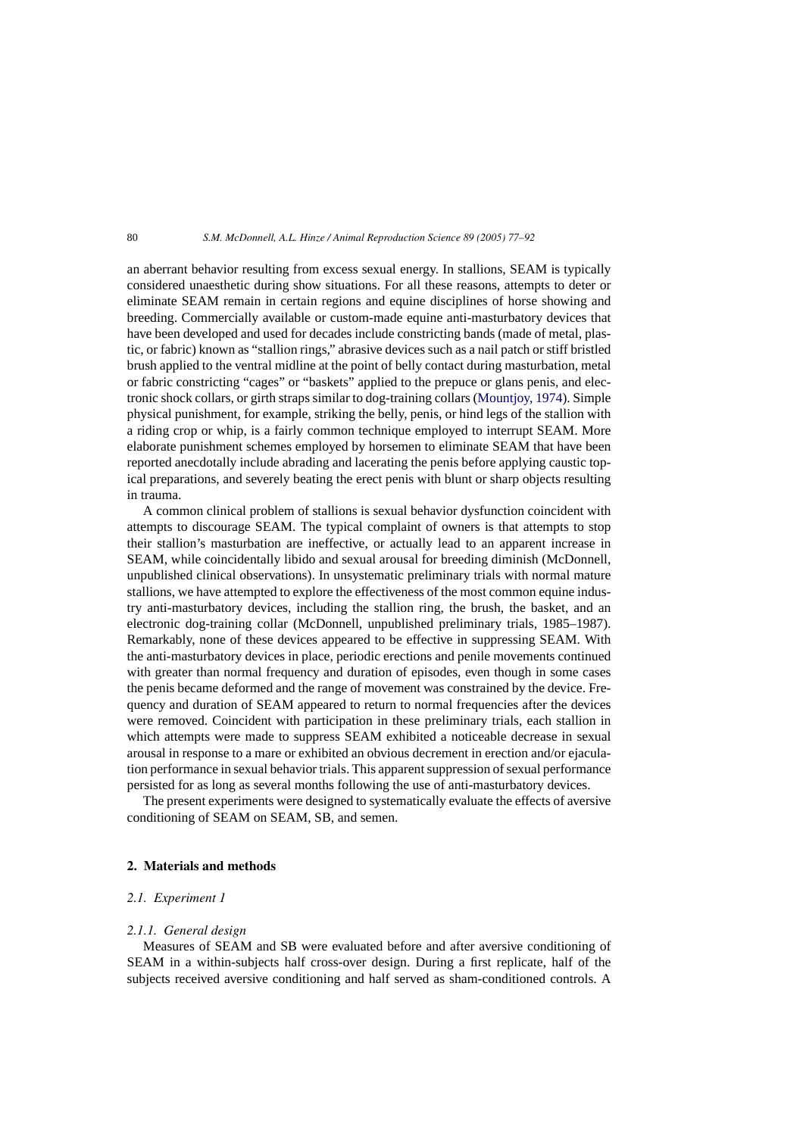an aberrant behavior resulting from excess sexual energy. In stallions, SEAM is typically considered unaesthetic during show situations. For all these reasons, attempts to deter or eliminate SEAM remain in certain regions and equine disciplines of horse showing and breeding. Commercially available or custom-made equine anti-masturbatory devices that have been developed and used for decades include constricting bands (made of metal, plastic, or fabric) known as "stallion rings," abrasive devices such as a nail patch or stiff bristled brush applied to the ventral midline at the point of belly contact during masturbation, metal or fabric constricting "cages" or "baskets" applied to the prepuce or glans penis, and electronic shock collars, or girth straps similar to dog-training collars ([Mountjoy, 1974\).](#page-14-0) Simple physical punishment, for example, striking the belly, penis, or hind legs of the stallion with a riding crop or whip, is a fairly common technique employed to interrupt SEAM. More elaborate punishment schemes employed by horsemen to eliminate SEAM that have been reported anecdotally include abrading and lacerating the penis before applying caustic topical preparations, and severely beating the erect penis with blunt or sharp objects resulting in trauma.

A common clinical problem of stallions is sexual behavior dysfunction coincident with attempts to discourage SEAM. The typical complaint of owners is that attempts to stop their stallion's masturbation are ineffective, or actually lead to an apparent increase in SEAM, while coincidentally libido and sexual arousal for breeding diminish (McDonnell, unpublished clinical observations). In unsystematic preliminary trials with normal mature stallions, we have attempted to explore the effectiveness of the most common equine industry anti-masturbatory devices, including the stallion ring, the brush, the basket, and an electronic dog-training collar (McDonnell, unpublished preliminary trials, 1985–1987). Remarkably, none of these devices appeared to be effective in suppressing SEAM. With the anti-masturbatory devices in place, periodic erections and penile movements continued with greater than normal frequency and duration of episodes, even though in some cases the penis became deformed and the range of movement was constrained by the device. Frequency and duration of SEAM appeared to return to normal frequencies after the devices were removed. Coincident with participation in these preliminary trials, each stallion in which attempts were made to suppress SEAM exhibited a noticeable decrease in sexual arousal in response to a mare or exhibited an obvious decrement in erection and/or ejaculation performance in sexual behavior trials. This apparent suppression of sexual performance persisted for as long as several months following the use of anti-masturbatory devices.

The present experiments were designed to systematically evaluate the effects of aversive conditioning of SEAM on SEAM, SB, and semen.

#### **2. Materials and methods**

#### *2.1. Experiment 1*

#### *2.1.1. General design*

Measures of SEAM and SB were evaluated before and after aversive conditioning of SEAM in a within-subjects half cross-over design. During a first replicate, half of the subjects received aversive conditioning and half served as sham-conditioned controls. A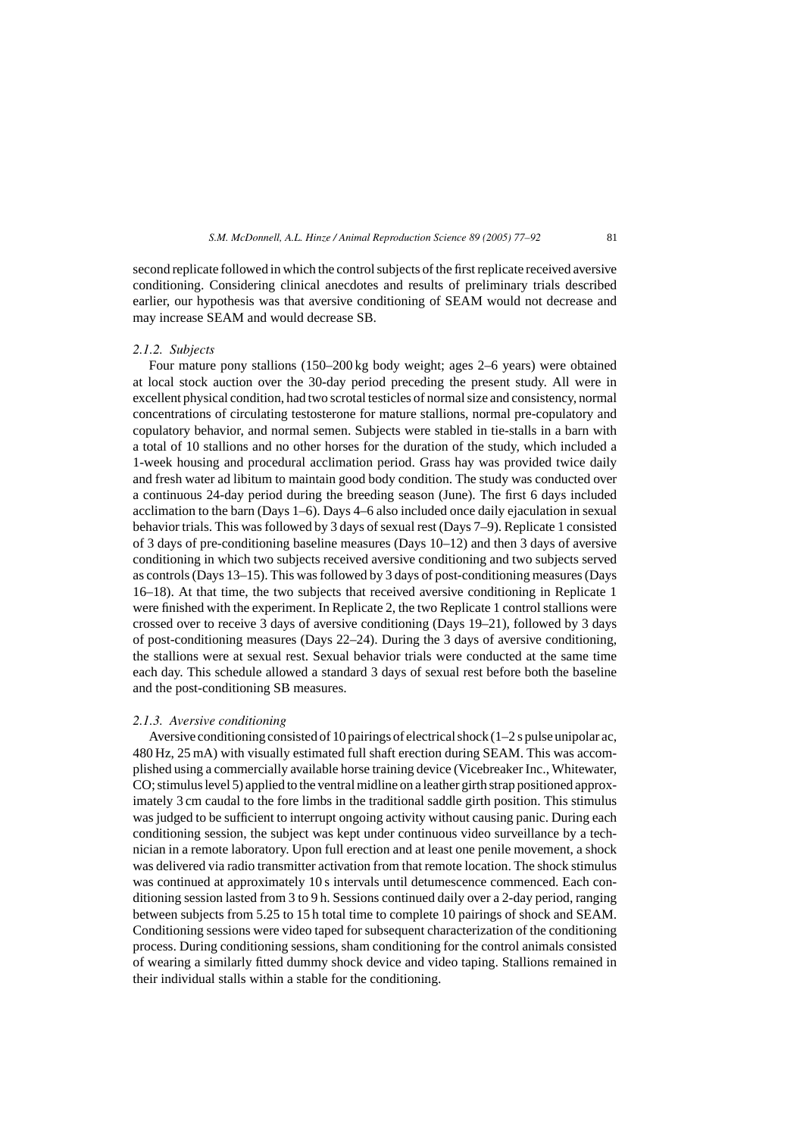second replicate followed in which the control subjects of the first replicate received aversive conditioning. Considering clinical anecdotes and results of preliminary trials described earlier, our hypothesis was that aversive conditioning of SEAM would not decrease and may increase SEAM and would decrease SB.

#### *2.1.2. Subjects*

Four mature pony stallions (150–200 kg body weight; ages 2–6 years) were obtained at local stock auction over the 30-day period preceding the present study. All were in excellent physical condition, had two scrotal testicles of normal size and consistency, normal concentrations of circulating testosterone for mature stallions, normal pre-copulatory and copulatory behavior, and normal semen. Subjects were stabled in tie-stalls in a barn with a total of 10 stallions and no other horses for the duration of the study, which included a 1-week housing and procedural acclimation period. Grass hay was provided twice daily and fresh water ad libitum to maintain good body condition. The study was conducted over a continuous 24-day period during the breeding season (June). The first 6 days included acclimation to the barn (Days 1–6). Days 4–6 also included once daily ejaculation in sexual behavior trials. This was followed by 3 days of sexual rest (Days 7–9). Replicate 1 consisted of 3 days of pre-conditioning baseline measures (Days 10–12) and then 3 days of aversive conditioning in which two subjects received aversive conditioning and two subjects served as controls (Days 13–15). This was followed by 3 days of post-conditioning measures (Days 16–18). At that time, the two subjects that received aversive conditioning in Replicate 1 were finished with the experiment. In Replicate 2, the two Replicate 1 control stallions were crossed over to receive 3 days of aversive conditioning (Days 19–21), followed by 3 days of post-conditioning measures (Days 22–24). During the 3 days of aversive conditioning, the stallions were at sexual rest. Sexual behavior trials were conducted at the same time each day. This schedule allowed a standard 3 days of sexual rest before both the baseline and the post-conditioning SB measures.

#### *2.1.3. Aversive conditioning*

Aversive conditioning consisted of 10 pairings of electrical shock (1–2 s pulse unipolar ac, 480 Hz, 25 mA) with visually estimated full shaft erection during SEAM. This was accomplished using a commercially available horse training device (Vicebreaker Inc., Whitewater, CO; stimulus level 5) applied to the ventral midline on a leather girth strap positioned approximately 3 cm caudal to the fore limbs in the traditional saddle girth position. This stimulus was judged to be sufficient to interrupt ongoing activity without causing panic. During each conditioning session, the subject was kept under continuous video surveillance by a technician in a remote laboratory. Upon full erection and at least one penile movement, a shock was delivered via radio transmitter activation from that remote location. The shock stimulus was continued at approximately 10 s intervals until detumescence commenced. Each conditioning session lasted from 3 to 9 h. Sessions continued daily over a 2-day period, ranging between subjects from 5.25 to 15 h total time to complete 10 pairings of shock and SEAM. Conditioning sessions were video taped for subsequent characterization of the conditioning process. During conditioning sessions, sham conditioning for the control animals consisted of wearing a similarly fitted dummy shock device and video taping. Stallions remained in their individual stalls within a stable for the conditioning.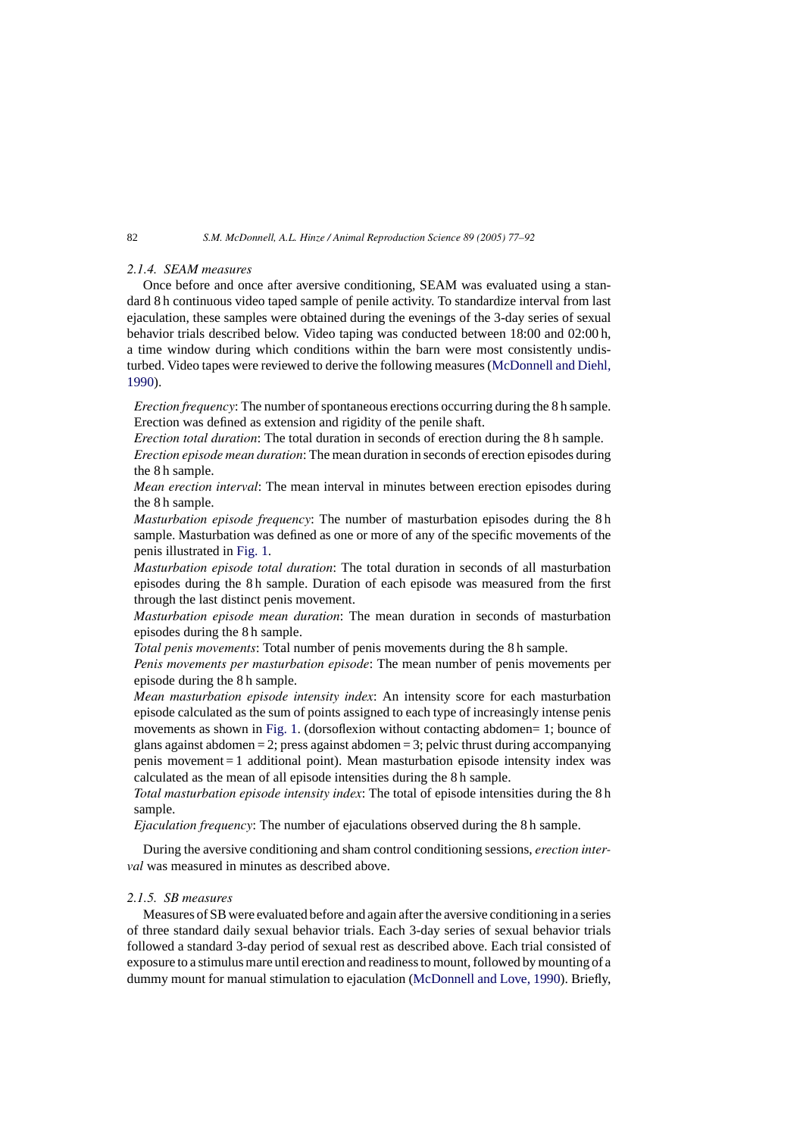#### *2.1.4. SEAM measures*

Once before and once after aversive conditioning, SEAM was evaluated using a standard 8 h continuous video taped sample of penile activity. To standardize interval from last ejaculation, these samples were obtained during the evenings of the 3-day series of sexual behavior trials described below. Video taping was conducted between 18:00 and 02:00 h, a time window during which conditions within the barn were most consistently undisturbed. Video tapes were reviewed to derive the following measures [\(McDonnell and Diehl,](#page-14-0) [1990\).](#page-14-0)

*Erection frequency*: The number of spontaneous erections occurring during the 8 h sample. Erection was defined as extension and rigidity of the penile shaft.

*Erection total duration*: The total duration in seconds of erection during the 8 h sample.

*Erection episode mean duration*: The mean duration in seconds of erection episodes during the 8 h sample.

*Mean erection interval*: The mean interval in minutes between erection episodes during the 8 h sample.

*Masturbation episode frequency*: The number of masturbation episodes during the 8 h sample. Masturbation was defined as one or more of any of the specific movements of the penis illustrated in [Fig. 1.](#page-2-0)

*Masturbation episode total duration*: The total duration in seconds of all masturbation episodes during the 8 h sample. Duration of each episode was measured from the first through the last distinct penis movement.

*Masturbation episode mean duration*: The mean duration in seconds of masturbation episodes during the 8 h sample.

*Total penis movements*: Total number of penis movements during the 8 h sample.

*Penis movements per masturbation episode*: The mean number of penis movements per episode during the 8 h sample.

*Mean masturbation episode intensity index*: An intensity score for each masturbation episode calculated as the sum of points assigned to each type of increasingly intense penis movements as shown in [Fig. 1.](#page-2-0) (dorsoflexion without contacting abdomen= 1; bounce of glans against abdomen  $= 2$ ; press against abdomen  $= 3$ ; pelvic thrust during accompanying penis movement = 1 additional point). Mean masturbation episode intensity index was calculated as the mean of all episode intensities during the 8 h sample.

*Total masturbation episode intensity index*: The total of episode intensities during the 8 h sample.

*Ejaculation frequency*: The number of ejaculations observed during the 8 h sample.

During the aversive conditioning and sham control conditioning sessions, *erection interval* was measured in minutes as described above.

#### *2.1.5. SB measures*

Measures of SB were evaluated before and again after the aversive conditioning in a series of three standard daily sexual behavior trials. Each 3-day series of sexual behavior trials followed a standard 3-day period of sexual rest as described above. Each trial consisted of exposure to a stimulus mare until erection and readiness to mount, followed by mounting of a dummy mount for manual stimulation to ejaculation [\(McDonnell and Love, 1990\).](#page-14-0) Briefly,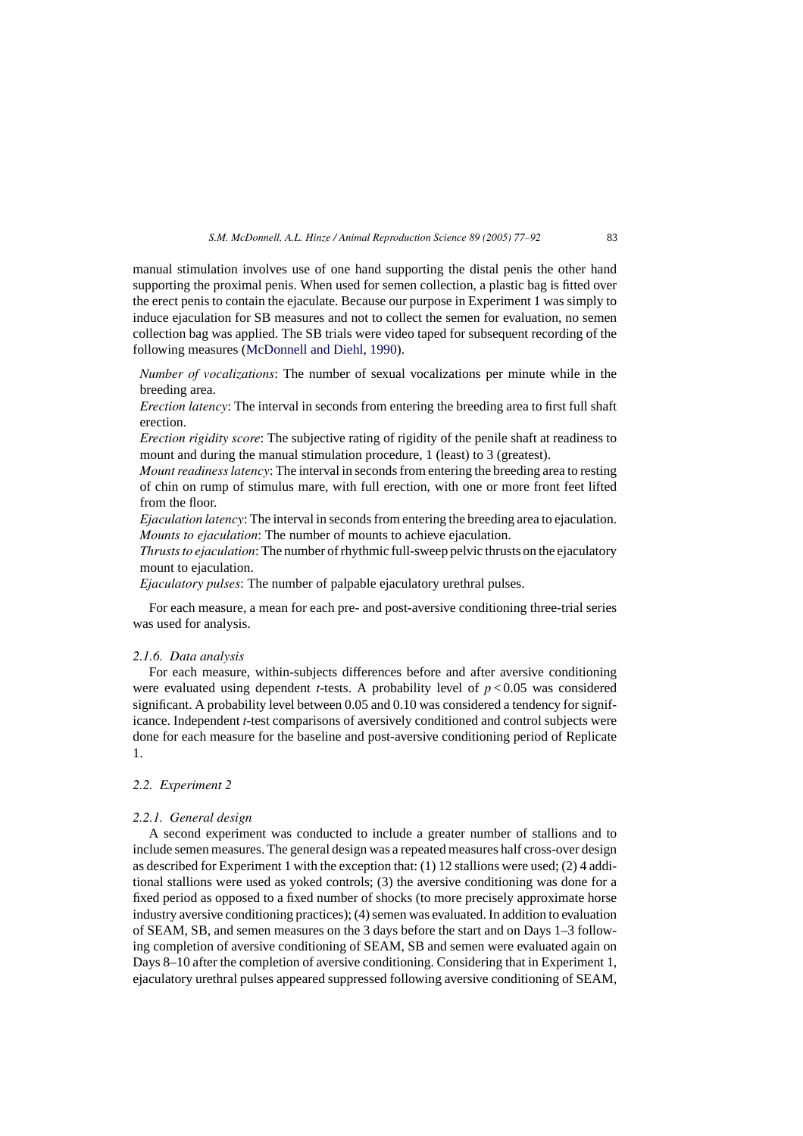manual stimulation involves use of one hand supporting the distal penis the other hand supporting the proximal penis. When used for semen collection, a plastic bag is fitted over the erect penis to contain the ejaculate. Because our purpose in Experiment 1 was simply to induce ejaculation for SB measures and not to collect the semen for evaluation, no semen collection bag was applied. The SB trials were video taped for subsequent recording of the following measures [\(McDonnell and Diehl, 1990\).](#page-14-0)

*Number of vocalizations*: The number of sexual vocalizations per minute while in the breeding area.

*Erection latency*: The interval in seconds from entering the breeding area to first full shaft erection.

*Erection rigidity score*: The subjective rating of rigidity of the penile shaft at readiness to mount and during the manual stimulation procedure, 1 (least) to 3 (greatest).

*Mount readiness latency*: The interval in seconds from entering the breeding area to resting of chin on rump of stimulus mare, with full erection, with one or more front feet lifted from the floor.

*Ejaculation latency*: The interval in seconds from entering the breeding area to ejaculation. *Mounts to ejaculation*: The number of mounts to achieve ejaculation.

*Thrusts to ejaculation*: The number of rhythmic full-sweep pelvic thrusts on the ejaculatory mount to ejaculation.

*Ejaculatory pulses*: The number of palpable ejaculatory urethral pulses.

For each measure, a mean for each pre- and post-aversive conditioning three-trial series was used for analysis.

### *2.1.6. Data analysis*

For each measure, within-subjects differences before and after aversive conditioning were evaluated using dependent *t*-tests. A probability level of  $p < 0.05$  was considered significant. A probability level between 0.05 and 0.10 was considered a tendency for significance. Independent *t*-test comparisons of aversively conditioned and control subjects were done for each measure for the baseline and post-aversive conditioning period of Replicate 1.

### *2.2. Experiment 2*

#### *2.2.1. General design*

A second experiment was conducted to include a greater number of stallions and to include semen measures. The general design was a repeated measures half cross-over design as described for Experiment 1 with the exception that:  $(1)$  12 stallions were used;  $(2)$  4 additional stallions were used as yoked controls; (3) the aversive conditioning was done for a fixed period as opposed to a fixed number of shocks (to more precisely approximate horse industry aversive conditioning practices); (4) semen was evaluated. In addition to evaluation of SEAM, SB, and semen measures on the 3 days before the start and on Days 1–3 following completion of aversive conditioning of SEAM, SB and semen were evaluated again on Days 8–10 after the completion of aversive conditioning. Considering that in Experiment 1, ejaculatory urethral pulses appeared suppressed following aversive conditioning of SEAM,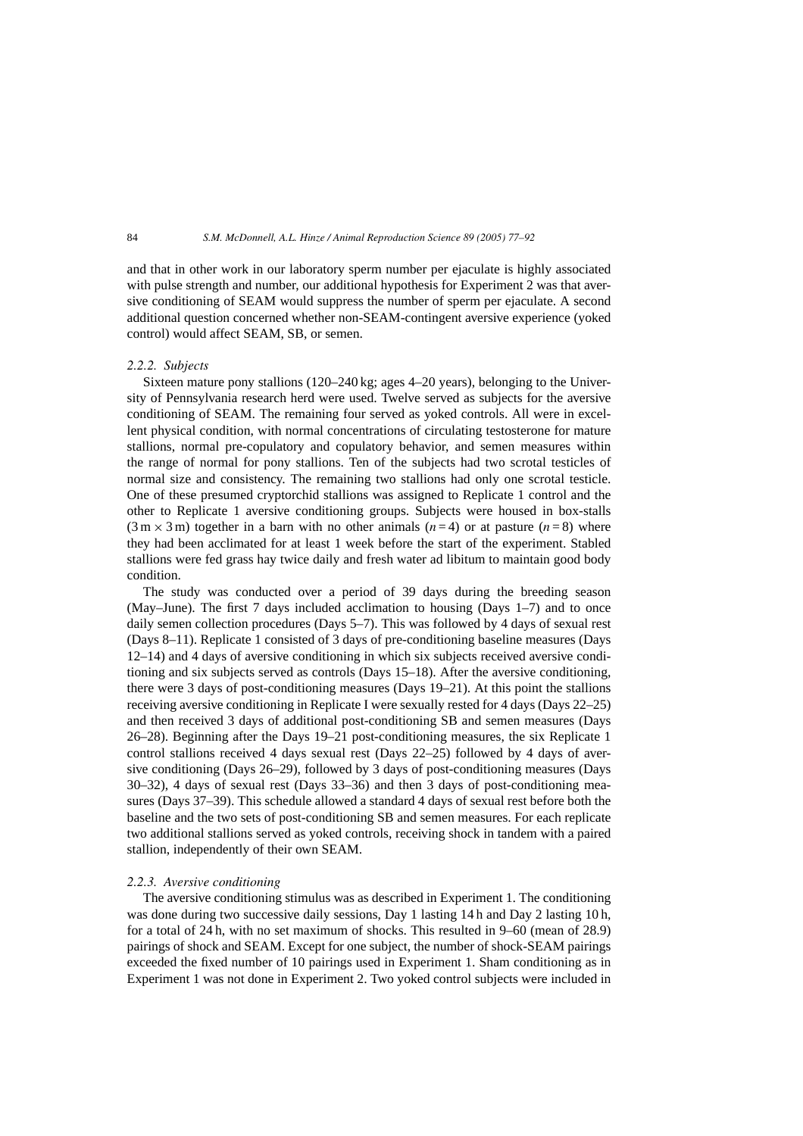and that in other work in our laboratory sperm number per ejaculate is highly associated with pulse strength and number, our additional hypothesis for Experiment 2 was that aversive conditioning of SEAM would suppress the number of sperm per ejaculate. A second additional question concerned whether non-SEAM-contingent aversive experience (yoked control) would affect SEAM, SB, or semen.

#### *2.2.2. Subjects*

Sixteen mature pony stallions (120–240 kg; ages 4–20 years), belonging to the University of Pennsylvania research herd were used. Twelve served as subjects for the aversive conditioning of SEAM. The remaining four served as yoked controls. All were in excellent physical condition, with normal concentrations of circulating testosterone for mature stallions, normal pre-copulatory and copulatory behavior, and semen measures within the range of normal for pony stallions. Ten of the subjects had two scrotal testicles of normal size and consistency. The remaining two stallions had only one scrotal testicle. One of these presumed cryptorchid stallions was assigned to Replicate 1 control and the other to Replicate 1 aversive conditioning groups. Subjects were housed in box-stalls  $(3 \text{ m} \times 3 \text{ m})$  together in a barn with no other animals  $(n=4)$  or at pasture  $(n=8)$  where they had been acclimated for at least 1 week before the start of the experiment. Stabled stallions were fed grass hay twice daily and fresh water ad libitum to maintain good body condition.

The study was conducted over a period of 39 days during the breeding season (May–June). The first 7 days included acclimation to housing (Days 1–7) and to once daily semen collection procedures (Days 5–7). This was followed by 4 days of sexual rest (Days 8–11). Replicate 1 consisted of 3 days of pre-conditioning baseline measures (Days 12–14) and 4 days of aversive conditioning in which six subjects received aversive conditioning and six subjects served as controls (Days 15–18). After the aversive conditioning, there were 3 days of post-conditioning measures (Days 19–21). At this point the stallions receiving aversive conditioning in Replicate I were sexually rested for 4 days (Days 22–25) and then received 3 days of additional post-conditioning SB and semen measures (Days 26–28). Beginning after the Days 19–21 post-conditioning measures, the six Replicate 1 control stallions received 4 days sexual rest (Days 22–25) followed by 4 days of aversive conditioning (Days 26–29), followed by 3 days of post-conditioning measures (Days 30–32), 4 days of sexual rest (Days 33–36) and then 3 days of post-conditioning measures (Days 37–39). This schedule allowed a standard 4 days of sexual rest before both the baseline and the two sets of post-conditioning SB and semen measures. For each replicate two additional stallions served as yoked controls, receiving shock in tandem with a paired stallion, independently of their own SEAM.

#### *2.2.3. Aversive conditioning*

The aversive conditioning stimulus was as described in Experiment 1. The conditioning was done during two successive daily sessions, Day 1 lasting 14 h and Day 2 lasting 10 h, for a total of 24 h, with no set maximum of shocks. This resulted in 9–60 (mean of 28.9) pairings of shock and SEAM. Except for one subject, the number of shock-SEAM pairings exceeded the fixed number of 10 pairings used in Experiment 1. Sham conditioning as in Experiment 1 was not done in Experiment 2. Two yoked control subjects were included in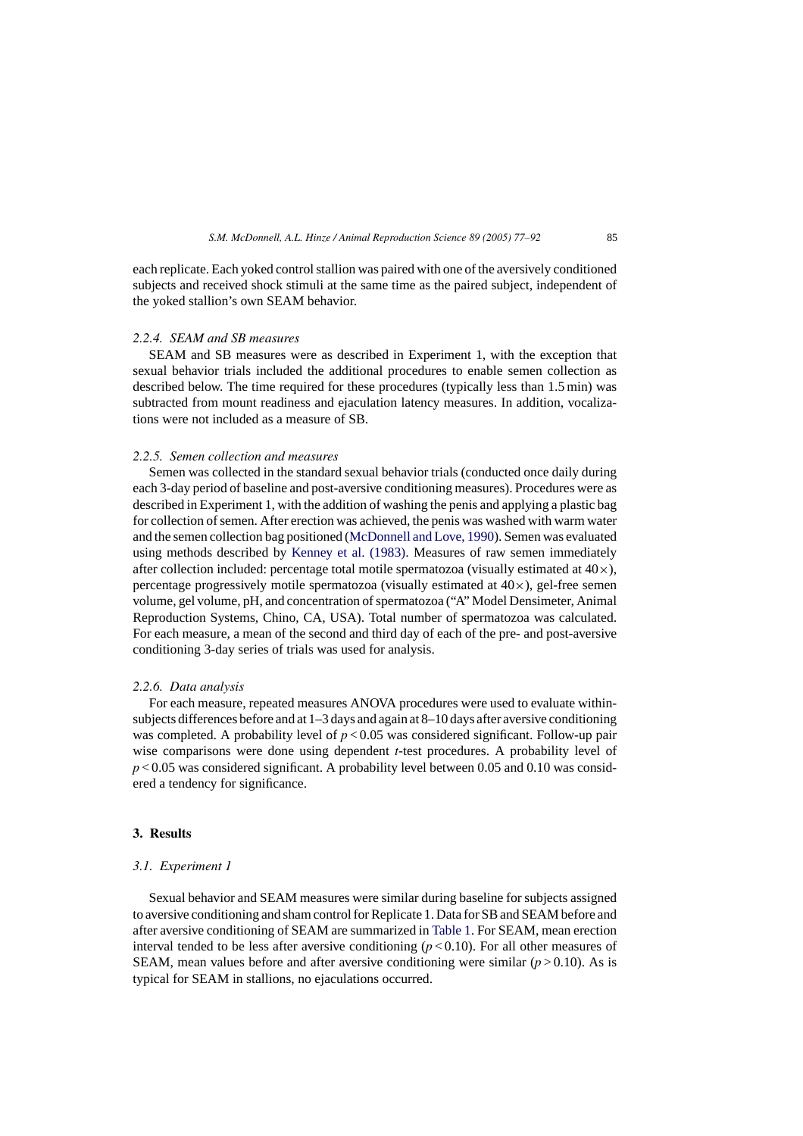each replicate. Each yoked control stallion was paired with one of the aversively conditioned subjects and received shock stimuli at the same time as the paired subject, independent of the yoked stallion's own SEAM behavior.

#### *2.2.4. SEAM and SB measures*

SEAM and SB measures were as described in Experiment 1, with the exception that sexual behavior trials included the additional procedures to enable semen collection as described below. The time required for these procedures (typically less than 1.5 min) was subtracted from mount readiness and ejaculation latency measures. In addition, vocalizations were not included as a measure of SB.

#### *2.2.5. Semen collection and measures*

Semen was collected in the standard sexual behavior trials (conducted once daily during each 3-day period of baseline and post-aversive conditioning measures). Procedures were as described in Experiment 1, with the addition of washing the penis and applying a plastic bag for collection of semen. After erection was achieved, the penis was washed with warm water and the semen collection bag positioned ([McDonnell and Love, 1990\). S](#page-14-0)emen was evaluated using methods described by [Kenney et al. \(1983\).](#page-14-0) Measures of raw semen immediately after collection included: percentage total motile spermatozoa (visually estimated at  $40\times$ ), percentage progressively motile spermatozoa (visually estimated at  $40\times$ ), gel-free semen volume, gel volume, pH, and concentration of spermatozoa ("A" Model Densimeter, Animal Reproduction Systems, Chino, CA, USA). Total number of spermatozoa was calculated. For each measure, a mean of the second and third day of each of the pre- and post-aversive conditioning 3-day series of trials was used for analysis.

#### *2.2.6. Data analysis*

For each measure, repeated measures ANOVA procedures were used to evaluate withinsubjects differences before and at 1–3 days and again at 8–10 days after aversive conditioning was completed. A probability level of  $p < 0.05$  was considered significant. Follow-up pair wise comparisons were done using dependent *t*-test procedures. A probability level of  $p < 0.05$  was considered significant. A probability level between 0.05 and 0.10 was considered a tendency for significance.

#### **3. Results**

#### *3.1. Experiment 1*

Sexual behavior and SEAM measures were similar during baseline for subjects assigned to aversive conditioning and sham control for Replicate 1. Data for SB and SEAM before and after aversive conditioning of SEAM are summarized in [Table 1. F](#page-9-0)or SEAM, mean erection interval tended to be less after aversive conditioning  $(p < 0.10)$ . For all other measures of SEAM, mean values before and after aversive conditioning were similar  $(p > 0.10)$ . As is typical for SEAM in stallions, no ejaculations occurred.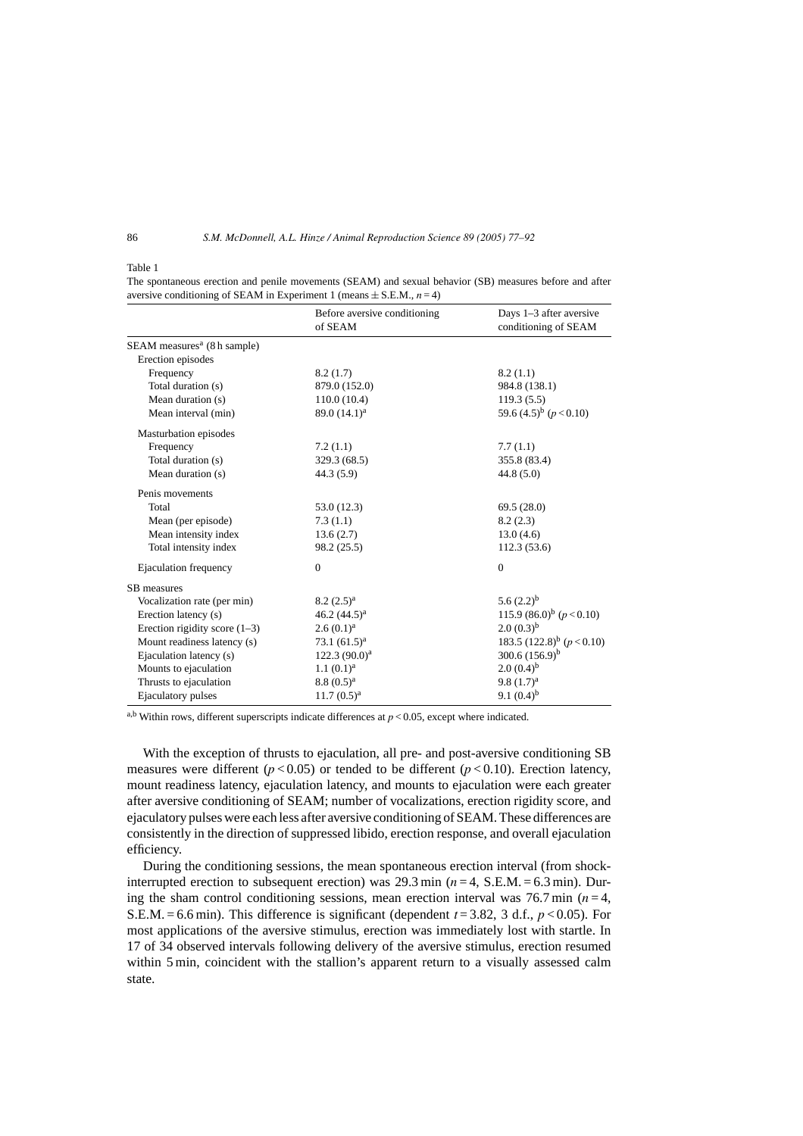Table 1

The spontaneous erection and penile movements (SEAM) and sexual behavior (SB) measures before and after aversive conditioning of SEAM in Experiment 1 (means  $\pm$  S.E.M., *n* = 4)

|                                         | Before aversive conditioning<br>of SEAM | Days 1-3 after aversive<br>conditioning of SEAM |
|-----------------------------------------|-----------------------------------------|-------------------------------------------------|
| SEAM measures <sup>a</sup> (8 h sample) |                                         |                                                 |
| Erection episodes                       |                                         |                                                 |
| Frequency                               | 8.2(1.7)                                | 8.2(1.1)                                        |
| Total duration (s)                      | 879.0 (152.0)                           | 984.8 (138.1)                                   |
| Mean duration (s)                       | 110.0(10.4)<br>119.3(5.5)               |                                                 |
| Mean interval (min)                     | 89.0 $(14.1)^a$                         | 59.6 $(4.5)^b$ ( $p < 0.10$ )                   |
| Masturbation episodes                   |                                         |                                                 |
| Frequency                               | 7.2(1.1)                                | 7.7(1.1)                                        |
| Total duration (s)                      | 329.3 (68.5)                            | 355.8 (83.4)                                    |
| Mean duration (s)                       | 44.3(5.9)                               | 44.8(5.0)                                       |
| Penis movements                         |                                         |                                                 |
| Total                                   | 53.0 (12.3)                             | 69.5(28.0)                                      |
| Mean (per episode)                      | 7.3(1.1)                                | 8.2(2.3)                                        |
| Mean intensity index                    | 13.6(2.7)                               | 13.0(4.6)                                       |
| Total intensity index                   | 98.2 (25.5)                             | 112.3(53.6)                                     |
| Ejaculation frequency                   | $\mathbf{0}$                            | $\mathbf{0}$                                    |
| SB measures                             |                                         |                                                 |
| Vocalization rate (per min)             | $8.2 (2.5)^a$                           | $5.6(2.2)^{b}$                                  |
| Erection latency (s)                    | 46.2 $(44.5)^{a}$                       | 115.9 $(86.0)^b$ ( $p < 0.10$ )                 |
| Erection rigidity score $(1-3)$         | $2.6(0.1)^{a}$                          | $2.0(0.3)^{b}$                                  |
| Mount readiness latency (s)             | 73.1 $(61.5)^a$                         | 183.5 $(122.8)^b$ ( $p < 0.10$ )                |
| Ejaculation latency (s)                 | 122.3 $(90.0)^a$                        | 300.6 $(156.9)^b$                               |
| Mounts to ejaculation                   | $1.1 (0.1)^a$                           | $2.0(0.4)^{b}$                                  |
| Thrusts to ejaculation                  | $8.8(0.5)^{a}$                          | 9.8 $(1.7)^a$                                   |
| Ejaculatory pulses                      | $11.7(0.5)^{a}$                         | 9.1 $(0.4)^{b}$                                 |

a,b Within rows, different superscripts indicate differences at  $p < 0.05$ , except where indicated.

With the exception of thrusts to ejaculation, all pre- and post-aversive conditioning SB measures were different  $(p<0.05)$  or tended to be different  $(p<0.10)$ . Erection latency, mount readiness latency, ejaculation latency, and mounts to ejaculation were each greater after aversive conditioning of SEAM; number of vocalizations, erection rigidity score, and ejaculatory pulses were each less after aversive conditioning of SEAM. These differences are consistently in the direction of suppressed libido, erection response, and overall ejaculation efficiency.

During the conditioning sessions, the mean spontaneous erection interval (from shockinterrupted erection to subsequent erection) was 29.3 min  $(n=4, S.E.M. = 6.3 \text{ min})$ . During the sham control conditioning sessions, mean erection interval was  $76.7 \text{ min}$  ( $n=4$ , S.E.M. = 6.6 min). This difference is significant (dependent  $t = 3.82$ , 3 d.f.,  $p < 0.05$ ). For most applications of the aversive stimulus, erection was immediately lost with startle. In 17 of 34 observed intervals following delivery of the aversive stimulus, erection resumed within 5 min, coincident with the stallion's apparent return to a visually assessed calm state.

<span id="page-9-0"></span>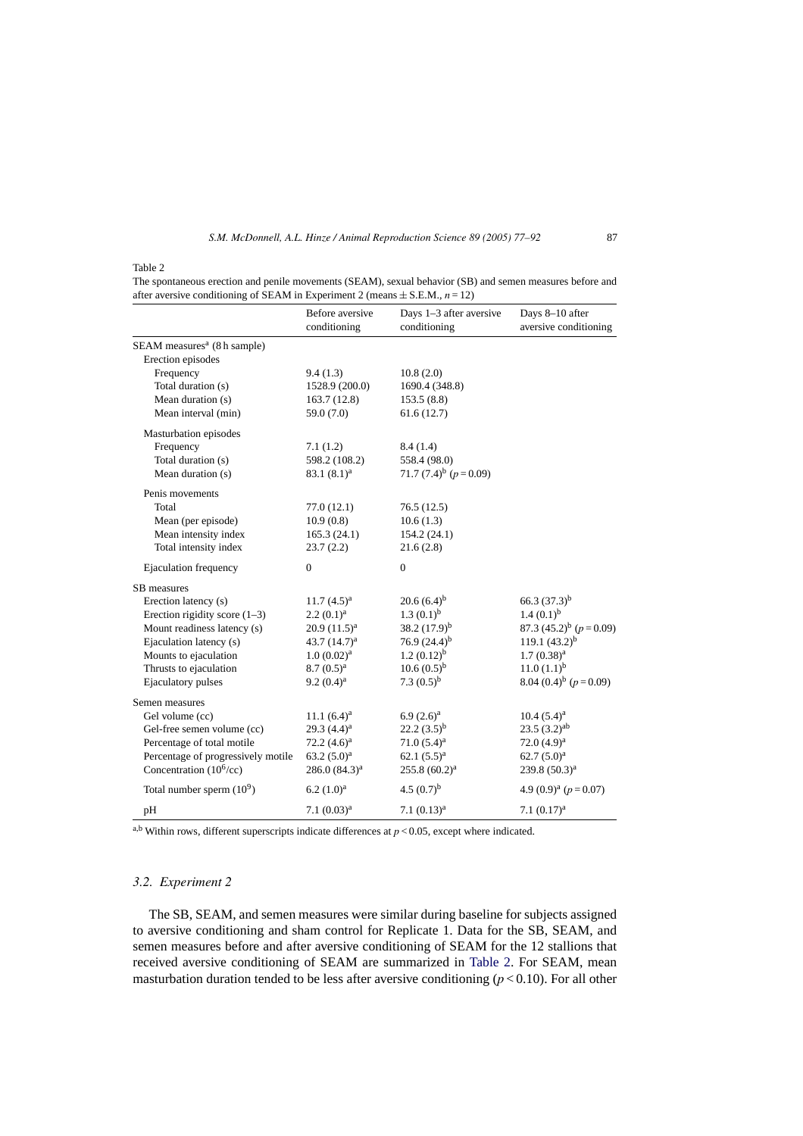Table 2

The spontaneous erection and penile movements (SEAM), sexual behavior (SB) and semen measures before and after aversive conditioning of SEAM in Experiment 2 (means  $\pm$  S.E.M.,  $n = 12$ )

|                                         | Before aversive<br>conditioning | Days 1-3 after aversive<br>conditioning | Days 8-10 after<br>aversive conditioning |
|-----------------------------------------|---------------------------------|-----------------------------------------|------------------------------------------|
| SEAM measures <sup>a</sup> (8 h sample) |                                 |                                         |                                          |
| Erection episodes                       |                                 |                                         |                                          |
| Frequency                               | 9.4(1.3)                        | 10.8(2.0)                               |                                          |
| Total duration (s)                      | 1528.9 (200.0)                  | 1690.4 (348.8)                          |                                          |
| Mean duration (s)                       | 163.7 (12.8)                    | 153.5(8.8)                              |                                          |
| Mean interval (min)                     | 59.0 (7.0)                      | 61.6(12.7)                              |                                          |
| Masturbation episodes                   |                                 |                                         |                                          |
| Frequency                               | 7.1(1.2)                        | 8.4(1.4)                                |                                          |
| Total duration (s)                      | 598.2 (108.2)                   | 558.4 (98.0)                            |                                          |
| Mean duration (s)                       | 83.1 $(8.1)^a$                  | 71.7 $(7.4)^b$ ( $p = 0.09$ )           |                                          |
| Penis movements                         |                                 |                                         |                                          |
| Total                                   | 77.0(12.1)                      | 76.5(12.5)                              |                                          |
| Mean (per episode)                      | 10.9(0.8)                       | 10.6(1.3)                               |                                          |
| Mean intensity index                    | 165.3(24.1)                     | 154.2 (24.1)                            |                                          |
| Total intensity index                   | 23.7(2.2)                       | 21.6(2.8)                               |                                          |
| Ejaculation frequency                   | $\mathbf{0}$                    | $\overline{0}$                          |                                          |
| SB measures                             |                                 |                                         |                                          |
| Erection latency (s)                    | $11.7(4.5)^{a}$                 | $20.6(6.4)^{b}$                         | 66.3 $(37.3)^{b}$                        |
| Erection rigidity score $(1-3)$         | $2.2(0.1)^a$                    | $1.3(0.1)^{b}$                          | $1.4(0.1)^{b}$                           |
| Mount readiness latency (s)             | $20.9(11.5)^{a}$                | 38.2 $(17.9)^{b}$                       | 87.3 $(45.2)^b$ ( $p = 0.09$ )           |
| Ejaculation latency (s)                 | 43.7 $(14.7)^{a}$               | 76.9 $(24.4)^{b}$                       | 119.1 $(43.2)^{b}$                       |
| Mounts to ejaculation                   | $1.0 (0.02)^a$                  | $1.2 (0.12)^{b}$                        | $1.7(0.38)^{a}$                          |
| Thrusts to ejaculation                  | $8.7(0.5)^{a}$                  | $10.6(0.5)^{b}$                         | $11.0(1.1)^{b}$                          |
| Ejaculatory pulses                      | 9.2 $(0.4)^a$                   | 7.3 $(0.5)^{b}$                         | 8.04 $(0.4)^b$ ( $p = 0.09$ )            |
| Semen measures                          |                                 |                                         |                                          |
| Gel volume (cc)                         | $11.1 (6.4)^a$                  | $6.9(2.6)^a$                            | $10.4(5.4)^a$                            |
| Gel-free semen volume (cc)              | $29.3(4.4)^a$                   | $22.2(3.5)^{b}$                         | $23.5(3.2)^{ab}$                         |
| Percentage of total motile              | 72.2 $(4.6)^a$                  | 71.0 $(5.4)^a$                          | 72.0 $(4.9)^a$                           |
| Percentage of progressively motile      | $63.2(5.0)^a$                   | $62.1(5.5)^a$                           | $62.7(5.0)^a$                            |
| Concentration $(10^6$ /cc)              | 286.0 $(84.3)^a$                | $255.8(60.2)^{a}$                       | 239.8 $(50.3)^a$                         |
| Total number sperm $(10^9)$             | $6.2 (1.0)^a$                   | 4.5 $(0.7)^{b}$                         | 4.9 $(0.9)^a$ $(p=0.07)$                 |
| pH                                      | 7.1 $(0.03)^a$                  | 7.1 $(0.13)^a$                          | 7.1 $(0.17)^a$                           |

a,b Within rows, different superscripts indicate differences at  $p < 0.05$ , except where indicated.

#### *3.2. Experiment 2*

The SB, SEAM, and semen measures were similar during baseline for subjects assigned to aversive conditioning and sham control for Replicate 1. Data for the SB, SEAM, and semen measures before and after aversive conditioning of SEAM for the 12 stallions that received aversive conditioning of SEAM are summarized in Table 2. For SEAM, mean masturbation duration tended to be less after aversive conditioning  $(p < 0.10)$ . For all other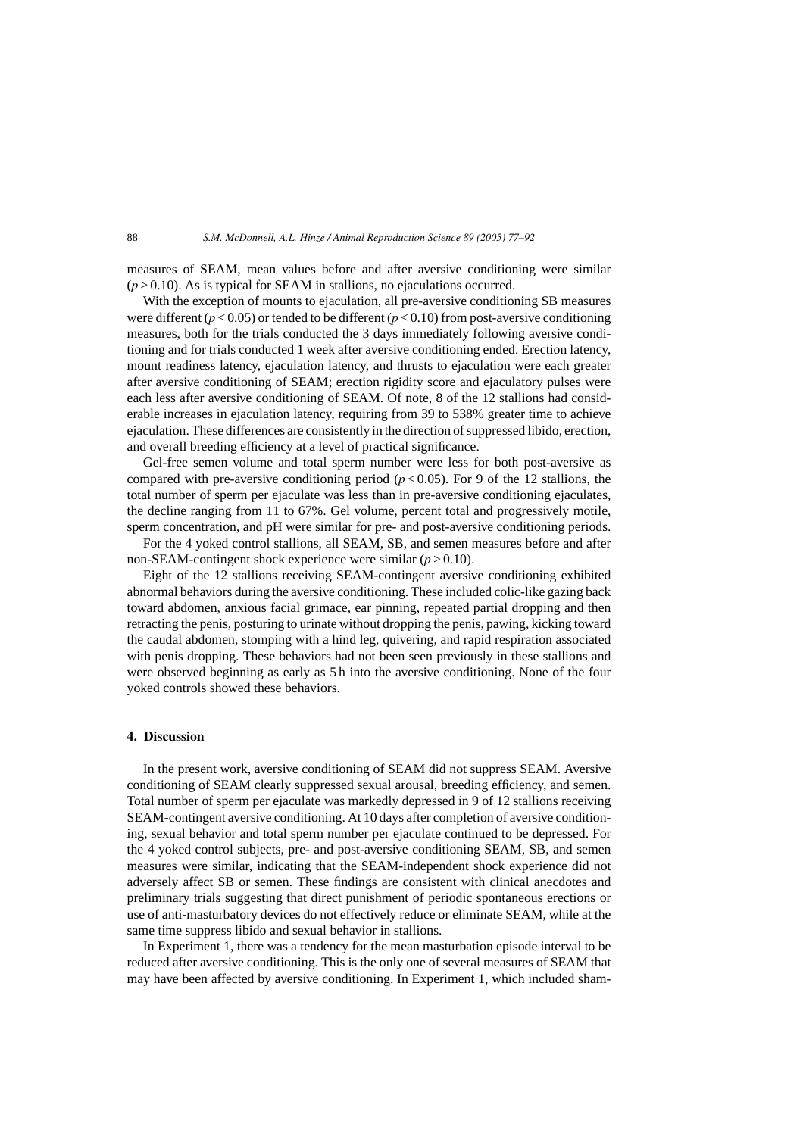measures of SEAM, mean values before and after aversive conditioning were similar  $(p > 0.10)$ . As is typical for SEAM in stallions, no ejaculations occurred.

With the exception of mounts to ejaculation, all pre-aversive conditioning SB measures were different ( $p < 0.05$ ) or tended to be different ( $p < 0.10$ ) from post-aversive conditioning measures, both for the trials conducted the 3 days immediately following aversive conditioning and for trials conducted 1 week after aversive conditioning ended. Erection latency, mount readiness latency, ejaculation latency, and thrusts to ejaculation were each greater after aversive conditioning of SEAM; erection rigidity score and ejaculatory pulses were each less after aversive conditioning of SEAM. Of note, 8 of the 12 stallions had considerable increases in ejaculation latency, requiring from 39 to 538% greater time to achieve ejaculation. These differences are consistently in the direction of suppressed libido, erection, and overall breeding efficiency at a level of practical significance.

Gel-free semen volume and total sperm number were less for both post-aversive as compared with pre-aversive conditioning period  $(p<0.05)$ . For 9 of the 12 stallions, the total number of sperm per ejaculate was less than in pre-aversive conditioning ejaculates, the decline ranging from 11 to 67%. Gel volume, percent total and progressively motile, sperm concentration, and pH were similar for pre- and post-aversive conditioning periods.

For the 4 yoked control stallions, all SEAM, SB, and semen measures before and after non-SEAM-contingent shock experience were similar  $(p > 0.10)$ .

Eight of the 12 stallions receiving SEAM-contingent aversive conditioning exhibited abnormal behaviors during the aversive conditioning. These included colic-like gazing back toward abdomen, anxious facial grimace, ear pinning, repeated partial dropping and then retracting the penis, posturing to urinate without dropping the penis, pawing, kicking toward the caudal abdomen, stomping with a hind leg, quivering, and rapid respiration associated with penis dropping. These behaviors had not been seen previously in these stallions and were observed beginning as early as 5 h into the aversive conditioning. None of the four yoked controls showed these behaviors.

### **4. Discussion**

In the present work, aversive conditioning of SEAM did not suppress SEAM. Aversive conditioning of SEAM clearly suppressed sexual arousal, breeding efficiency, and semen. Total number of sperm per ejaculate was markedly depressed in 9 of 12 stallions receiving SEAM-contingent aversive conditioning. At 10 days after completion of aversive conditioning, sexual behavior and total sperm number per ejaculate continued to be depressed. For the 4 yoked control subjects, pre- and post-aversive conditioning SEAM, SB, and semen measures were similar, indicating that the SEAM-independent shock experience did not adversely affect SB or semen. These findings are consistent with clinical anecdotes and preliminary trials suggesting that direct punishment of periodic spontaneous erections or use of anti-masturbatory devices do not effectively reduce or eliminate SEAM, while at the same time suppress libido and sexual behavior in stallions.

In Experiment 1, there was a tendency for the mean masturbation episode interval to be reduced after aversive conditioning. This is the only one of several measures of SEAM that may have been affected by aversive conditioning. In Experiment 1, which included sham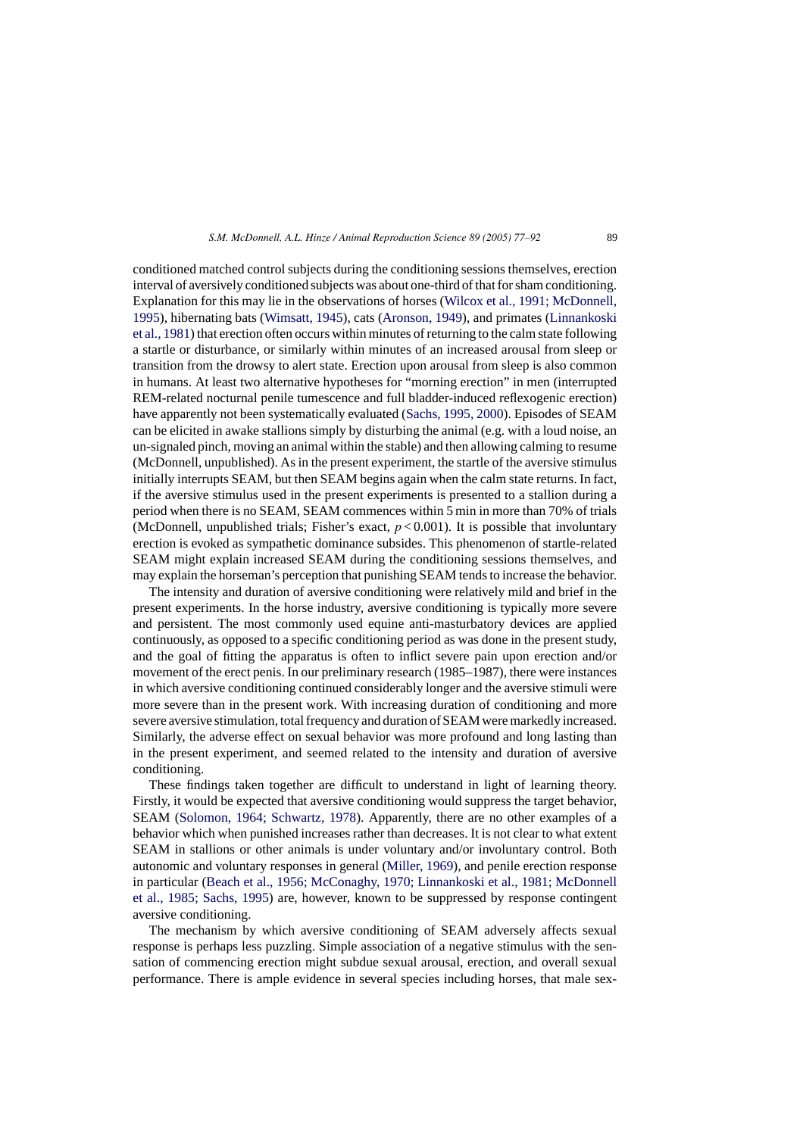conditioned matched control subjects during the conditioning sessions themselves, erection interval of aversively conditioned subjects was about one-third of that for sham conditioning. Explanation for this may lie in the observations of horses [\(Wilcox et al., 1991; McDonnell,](#page-15-0) 1995), hibernating bats ([Wimsatt, 1945\),](#page-15-0) cats [\(Aronson, 1949\),](#page-13-0) and primates [\(Linnankoski](#page-14-0) [et al., 1981\) t](#page-14-0)hat erection often occurs within minutes of returning to the calm state following a startle or disturbance, or similarly within minutes of an increased arousal from sleep or transition from the drowsy to alert state. Erection upon arousal from sleep is also common in humans. At least two alternative hypotheses for "morning erection" in men (interrupted REM-related nocturnal penile tumescence and full bladder-induced reflexogenic erection) have apparently not been systematically evaluated ([Sachs, 1995, 2000\).](#page-14-0) Episodes of SEAM can be elicited in awake stallions simply by disturbing the animal (e.g. with a loud noise, an un-signaled pinch, moving an animal within the stable) and then allowing calming to resume (McDonnell, unpublished). As in the present experiment, the startle of the aversive stimulus initially interrupts SEAM, but then SEAM begins again when the calm state returns. In fact, if the aversive stimulus used in the present experiments is presented to a stallion during a period when there is no SEAM, SEAM commences within 5 min in more than 70% of trials (McDonnell, unpublished trials; Fisher's exact,  $p < 0.001$ ). It is possible that involuntary erection is evoked as sympathetic dominance subsides. This phenomenon of startle-related SEAM might explain increased SEAM during the conditioning sessions themselves, and may explain the horseman's perception that punishing SEAM tends to increase the behavior.

The intensity and duration of aversive conditioning were relatively mild and brief in the present experiments. In the horse industry, aversive conditioning is typically more severe and persistent. The most commonly used equine anti-masturbatory devices are applied continuously, as opposed to a specific conditioning period as was done in the present study, and the goal of fitting the apparatus is often to inflict severe pain upon erection and/or movement of the erect penis. In our preliminary research (1985–1987), there were instances in which aversive conditioning continued considerably longer and the aversive stimuli were more severe than in the present work. With increasing duration of conditioning and more severe aversive stimulation, total frequency and duration of SEAM were markedly increased. Similarly, the adverse effect on sexual behavior was more profound and long lasting than in the present experiment, and seemed related to the intensity and duration of aversive conditioning.

These findings taken together are difficult to understand in light of learning theory. Firstly, it would be expected that aversive conditioning would suppress the target behavior, SEAM ([Solomon, 1964; Schwartz, 1978\)](#page-15-0). Apparently, there are no other examples of a behavior which when punished increases rather than decreases. It is not clear to what extent SEAM in stallions or other animals is under voluntary and/or involuntary control. Both autonomic and voluntary responses in general ([Miller, 1969\),](#page-14-0) and penile erection response in particular ([Beach et al., 1956; McConaghy, 1970; Linnankoski et al., 1981; McDonnell](#page-13-0) [et al., 1985; Sachs, 1995\)](#page-13-0) are, however, known to be suppressed by response contingent aversive conditioning.

The mechanism by which aversive conditioning of SEAM adversely affects sexual response is perhaps less puzzling. Simple association of a negative stimulus with the sensation of commencing erection might subdue sexual arousal, erection, and overall sexual performance. There is ample evidence in several species including horses, that male sex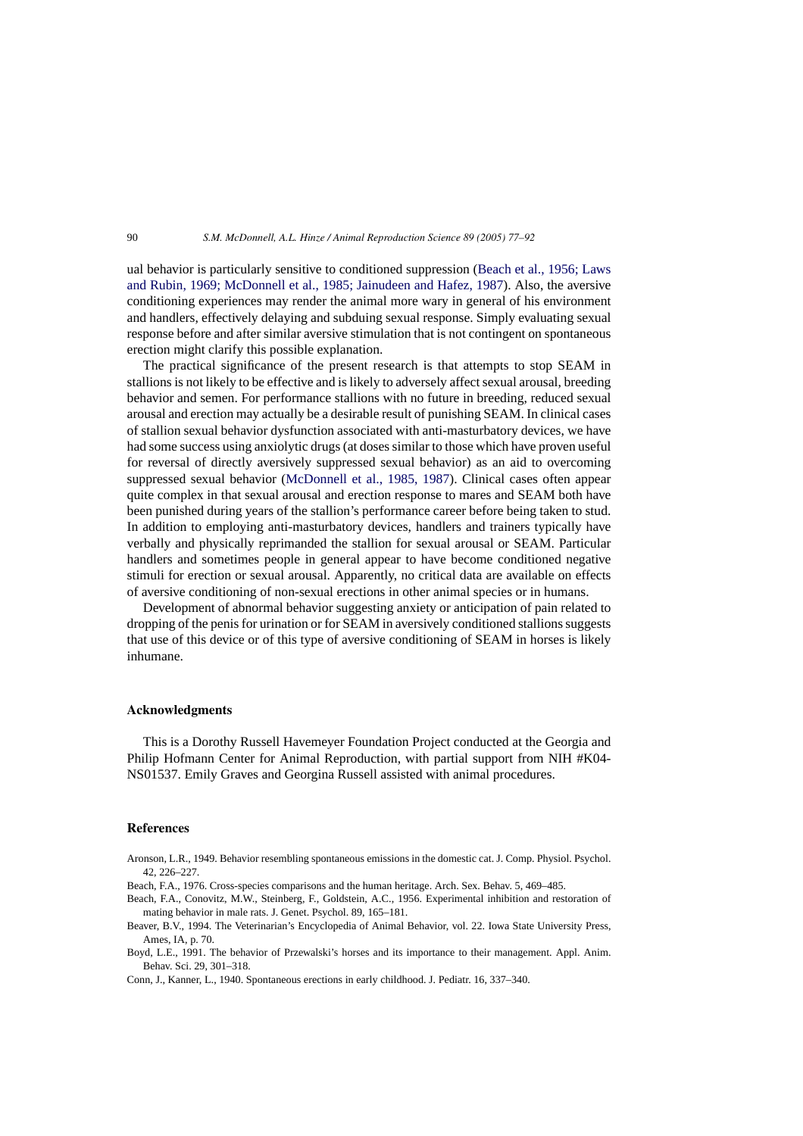<span id="page-13-0"></span>ual behavior is particularly sensitive to conditioned suppression (Beach et al., 1956; Laws and Rubin, 1969; McDonnell et al., 1985; Jainudeen and Hafez, 1987). Also, the aversive conditioning experiences may render the animal more wary in general of his environment and handlers, effectively delaying and subduing sexual response. Simply evaluating sexual response before and after similar aversive stimulation that is not contingent on spontaneous erection might clarify this possible explanation.

The practical significance of the present research is that attempts to stop SEAM in stallions is not likely to be effective and is likely to adversely affect sexual arousal, breeding behavior and semen. For performance stallions with no future in breeding, reduced sexual arousal and erection may actually be a desirable result of punishing SEAM. In clinical cases of stallion sexual behavior dysfunction associated with anti-masturbatory devices, we have had some success using anxiolytic drugs (at doses similar to those which have proven useful for reversal of directly aversively suppressed sexual behavior) as an aid to overcoming suppressed sexual behavior ([McDonnell et al., 1985, 1987\)](#page-14-0). Clinical cases often appear quite complex in that sexual arousal and erection response to mares and SEAM both have been punished during years of the stallion's performance career before being taken to stud. In addition to employing anti-masturbatory devices, handlers and trainers typically have verbally and physically reprimanded the stallion for sexual arousal or SEAM. Particular handlers and sometimes people in general appear to have become conditioned negative stimuli for erection or sexual arousal. Apparently, no critical data are available on effects of aversive conditioning of non-sexual erections in other animal species or in humans.

Development of abnormal behavior suggesting anxiety or anticipation of pain related to dropping of the penis for urination or for SEAM in aversively conditioned stallions suggests that use of this device or of this type of aversive conditioning of SEAM in horses is likely inhumane.

#### **Acknowledgments**

This is a Dorothy Russell Havemeyer Foundation Project conducted at the Georgia and Philip Hofmann Center for Animal Reproduction, with partial support from NIH #K04- NS01537. Emily Graves and Georgina Russell assisted with animal procedures.

#### **References**

- Aronson, L.R., 1949. Behavior resembling spontaneous emissions in the domestic cat. J. Comp. Physiol. Psychol. 42, 226–227.
- Beach, F.A., 1976. Cross-species comparisons and the human heritage. Arch. Sex. Behav. 5, 469–485.
- Beach, F.A., Conovitz, M.W., Steinberg, F., Goldstein, A.C., 1956. Experimental inhibition and restoration of mating behavior in male rats. J. Genet. Psychol. 89, 165–181.
- Beaver, B.V., 1994. The Veterinarian's Encyclopedia of Animal Behavior, vol. 22. Iowa State University Press, Ames, IA, p. 70.
- Boyd, L.E., 1991. The behavior of Przewalski's horses and its importance to their management. Appl. Anim. Behav. Sci. 29, 301–318.
- Conn, J., Kanner, L., 1940. Spontaneous erections in early childhood. J. Pediatr. 16, 337–340.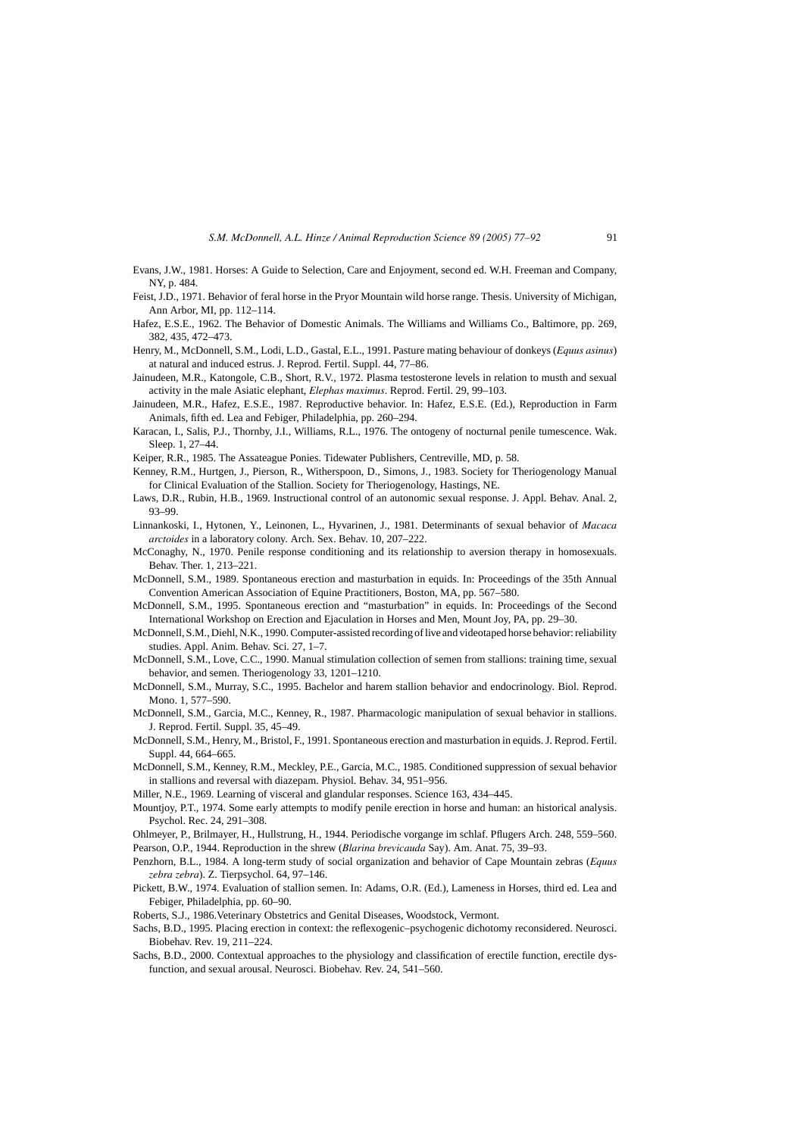- <span id="page-14-0"></span>Evans, J.W., 1981. Horses: A Guide to Selection, Care and Enjoyment, second ed. W.H. Freeman and Company, NY, p. 484.
- Feist, J.D., 1971. Behavior of feral horse in the Pryor Mountain wild horse range. Thesis. University of Michigan, Ann Arbor, MI, pp. 112–114.
- Hafez, E.S.E., 1962. The Behavior of Domestic Animals. The Williams and Williams Co., Baltimore, pp. 269, 382, 435, 472–473.
- Henry, M., McDonnell, S.M., Lodi, L.D., Gastal, E.L., 1991. Pasture mating behaviour of donkeys (*Equus asinus*) at natural and induced estrus. J. Reprod. Fertil. Suppl. 44, 77–86.
- Jainudeen, M.R., Katongole, C.B., Short, R.V., 1972. Plasma testosterone levels in relation to musth and sexual activity in the male Asiatic elephant, *Elephas maximus*. Reprod. Fertil. 29, 99–103.
- Jainudeen, M.R., Hafez, E.S.E., 1987. Reproductive behavior. In: Hafez, E.S.E. (Ed.), Reproduction in Farm Animals, fifth ed. Lea and Febiger, Philadelphia, pp. 260–294.
- Karacan, I., Salis, P.J., Thornby, J.I., Williams, R.L., 1976. The ontogeny of nocturnal penile tumescence. Wak. Sleep. 1, 27–44.
- Keiper, R.R., 1985. The Assateague Ponies. Tidewater Publishers, Centreville, MD, p. 58.
- Kenney, R.M., Hurtgen, J., Pierson, R., Witherspoon, D., Simons, J., 1983. Society for Theriogenology Manual for Clinical Evaluation of the Stallion. Society for Theriogenology, Hastings, NE.
- Laws, D.R., Rubin, H.B., 1969. Instructional control of an autonomic sexual response. J. Appl. Behav. Anal. 2, 93–99.
- Linnankoski, I., Hytonen, Y., Leinonen, L., Hyvarinen, J., 1981. Determinants of sexual behavior of *Macaca arctoides* in a laboratory colony. Arch. Sex. Behav. 10, 207–222.
- McConaghy, N., 1970. Penile response conditioning and its relationship to aversion therapy in homosexuals. Behav. Ther. 1, 213–221.
- McDonnell, S.M., 1989. Spontaneous erection and masturbation in equids. In: Proceedings of the 35th Annual Convention American Association of Equine Practitioners, Boston, MA, pp. 567–580.
- McDonnell, S.M., 1995. Spontaneous erection and "masturbation" in equids. In: Proceedings of the Second International Workshop on Erection and Ejaculation in Horses and Men, Mount Joy, PA, pp. 29–30.
- McDonnell, S.M., Diehl, N.K., 1990. Computer-assisted recording of live and videotaped horse behavior: reliability studies. Appl. Anim. Behav. Sci. 27, 1–7.
- McDonnell, S.M., Love, C.C., 1990. Manual stimulation collection of semen from stallions: training time, sexual behavior, and semen. Theriogenology 33, 1201–1210.
- McDonnell, S.M., Murray, S.C., 1995. Bachelor and harem stallion behavior and endocrinology. Biol. Reprod. Mono. 1, 577–590.
- McDonnell, S.M., Garcia, M.C., Kenney, R., 1987. Pharmacologic manipulation of sexual behavior in stallions. J. Reprod. Fertil. Suppl. 35, 45–49.
- McDonnell, S.M., Henry, M., Bristol, F., 1991. Spontaneous erection and masturbation in equids. J. Reprod. Fertil. Suppl. 44, 664–665.
- McDonnell, S.M., Kenney, R.M., Meckley, P.E., Garcia, M.C., 1985. Conditioned suppression of sexual behavior in stallions and reversal with diazepam. Physiol. Behav. 34, 951–956.
- Miller, N.E., 1969. Learning of visceral and glandular responses. Science 163, 434–445.
- Mountjoy, P.T., 1974. Some early attempts to modify penile erection in horse and human: an historical analysis. Psychol. Rec. 24, 291–308.
- Ohlmeyer, P., Brilmayer, H., Hullstrung, H., 1944. Periodische vorgange im schlaf. Pflugers Arch. 248, 559–560.
- Pearson, O.P., 1944. Reproduction in the shrew (*Blarina brevicauda* Say). Am. Anat. 75, 39–93.
- Penzhorn, B.L., 1984. A long-term study of social organization and behavior of Cape Mountain zebras (*Equus zebra zebra*). Z. Tierpsychol. 64, 97–146.
- Pickett, B.W., 1974. Evaluation of stallion semen. In: Adams, O.R. (Ed.), Lameness in Horses, third ed. Lea and Febiger, Philadelphia, pp. 60–90.
- Roberts, S.J., 1986.Veterinary Obstetrics and Genital Diseases, Woodstock, Vermont.
- Sachs, B.D., 1995. Placing erection in context: the reflexogenic–psychogenic dichotomy reconsidered. Neurosci. Biobehav. Rev. 19, 211–224.
- Sachs, B.D., 2000. Contextual approaches to the physiology and classification of erectile function, erectile dysfunction, and sexual arousal. Neurosci. Biobehav. Rev. 24, 541–560.